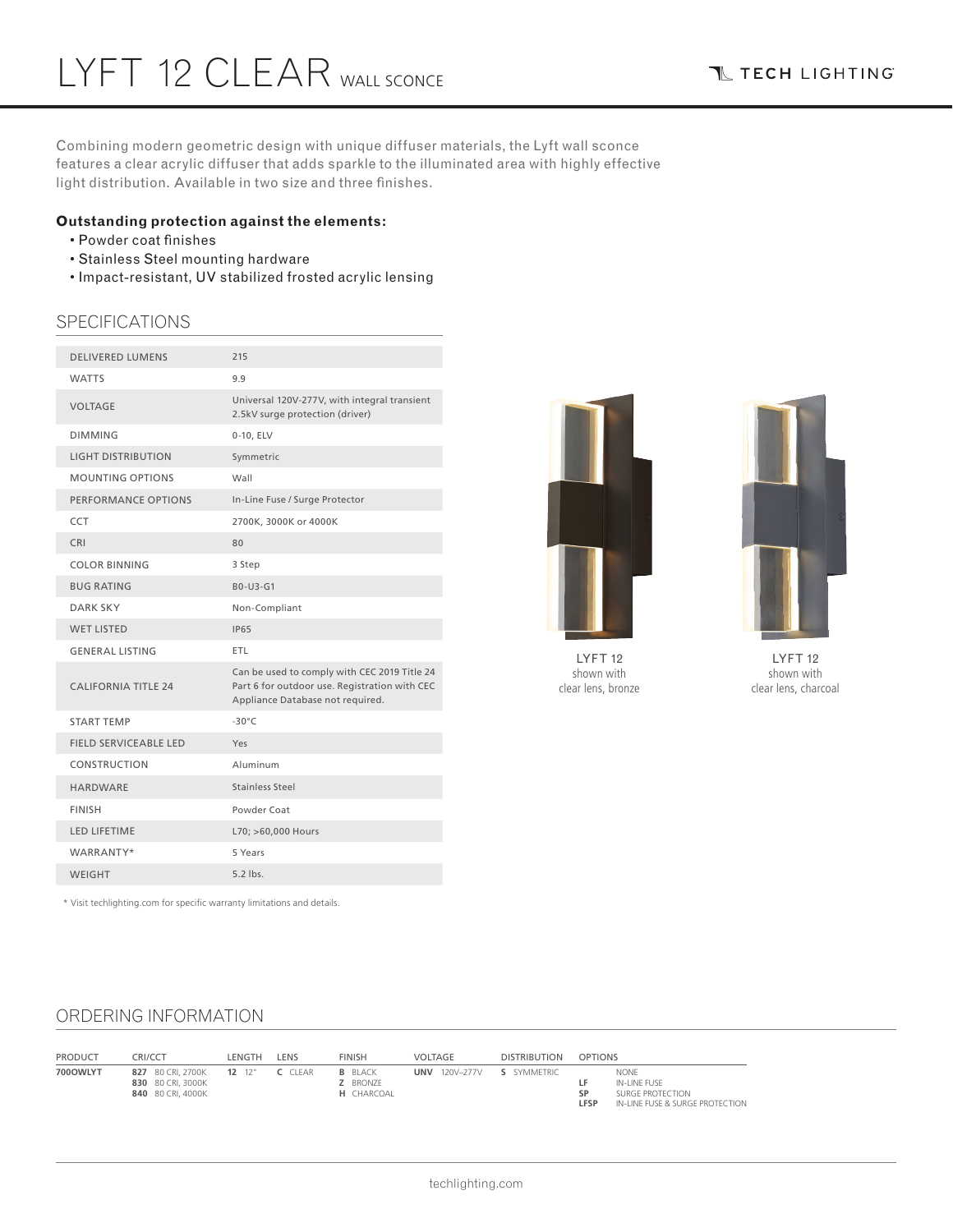Combining modern geometric design with unique diffuser materials, the Lyft wall sconce features a clear acrylic diffuser that adds sparkle to the illuminated area with highly effective light distribution. Available in two size and three finishes.

### **Outstanding protection against the elements:**

- Powder coat finishes
- Stainless Steel mounting hardware
- Impact-resistant, UV stabilized frosted acrylic lensing

## **SPECIFICATIONS**

| <b>DELIVERED LUMENS</b>      | 215                                                                                                                               |
|------------------------------|-----------------------------------------------------------------------------------------------------------------------------------|
| <b>WATTS</b>                 | 9.9                                                                                                                               |
| <b>VOLTAGE</b>               | Universal 120V-277V, with integral transient<br>2.5kV surge protection (driver)                                                   |
| <b>DIMMING</b>               | 0-10, ELV                                                                                                                         |
| <b>LIGHT DISTRIBUTION</b>    | Symmetric                                                                                                                         |
| <b>MOUNTING OPTIONS</b>      | Wall                                                                                                                              |
| PERFORMANCE OPTIONS          | In-Line Fuse / Surge Protector                                                                                                    |
| <b>CCT</b>                   | 2700K, 3000K or 4000K                                                                                                             |
| <b>CRI</b>                   | 80                                                                                                                                |
| <b>COLOR BINNING</b>         | 3 Step                                                                                                                            |
| <b>BUG RATING</b>            | B0-U3-G1                                                                                                                          |
| <b>DARK SKY</b>              | Non-Compliant                                                                                                                     |
| <b>WET LISTED</b>            | <b>IP65</b>                                                                                                                       |
| <b>GENERAL LISTING</b>       | ETL                                                                                                                               |
| <b>CALIFORNIA TITLE 24</b>   | Can be used to comply with CEC 2019 Title 24<br>Part 6 for outdoor use. Registration with CEC<br>Appliance Database not required. |
| <b>START TEMP</b>            | $-30^{\circ}$ C                                                                                                                   |
| <b>FIELD SERVICEABLE LED</b> | Yes                                                                                                                               |
| CONSTRUCTION                 | Aluminum                                                                                                                          |
| HARDWARE                     | Stainless Steel                                                                                                                   |
| <b>FINISH</b>                | Powder Coat                                                                                                                       |
| <b>LED LIFETIME</b>          | L70; >60,000 Hours                                                                                                                |
| WARRANTY*                    | 5 Years                                                                                                                           |
| <b>WEIGHT</b>                | $5.2$ lbs.                                                                                                                        |
|                              |                                                                                                                                   |



LYFT 12 shown with clear lens, bronze



LYFT 12 shown with clear lens, charcoal

\* Visit techlighting.com for specific warranty limitations and details.

### ORDERING INFORMATION

| <b>PRODUCT</b> | CRI/CCT                                                                     | LENGTH | LENS | <b>FINISH</b>                                          | VOLTAGE              | <b>DISTRIBUTION</b> | <b>OPTIONS</b> |                                                                             |
|----------------|-----------------------------------------------------------------------------|--------|------|--------------------------------------------------------|----------------------|---------------------|----------------|-----------------------------------------------------------------------------|
| 700OWLYT       | 827 80 CRI. 270 0K 12 12" C CLEAR<br>830 80 CRI. 3000K<br>840 80 CRI. 4000K |        |      | <b>B</b> BLACK<br><b>Z</b> BRONZE<br><b>H</b> CHARCOAL | <b>UNV</b> 120V-277V | S SYMMETRIC         | CD<br>LFSP     | NONE<br>IN-LINE FUSE<br>SURGE PROTECTION<br>IN-LINE FUSE & SURGE PROTECTION |